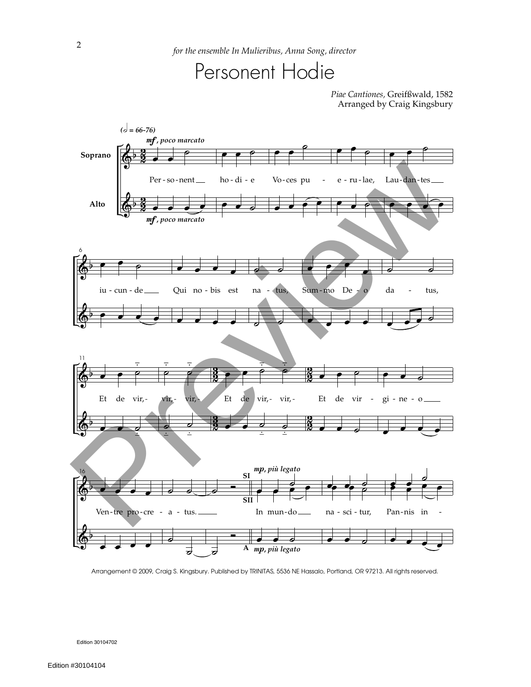## Personent Hodie

*Piae Cantiones,* Greifßwald, 1582 Arranged by Craig Kingsbury



Arrangement © 2009, Craig S. Kingsbury. Published by TRINITAS, 5536 NE Hassalo, Portland, OR 97213. All rights reserved.

Edition 30104702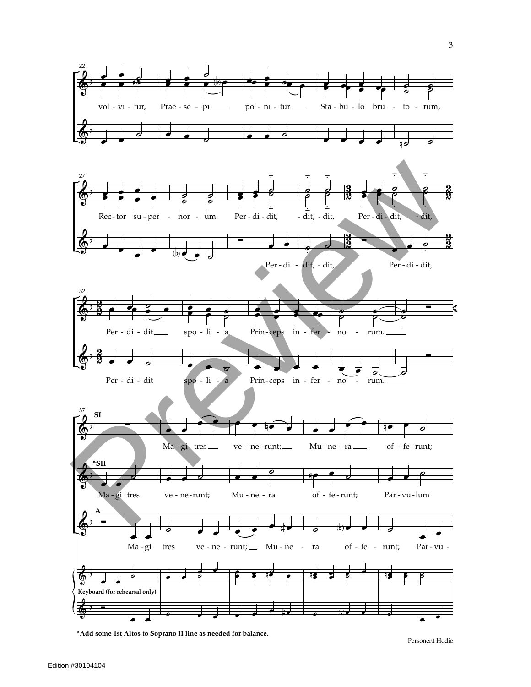

**\*Add some 1st Altos to Soprano II line as needed for balance.**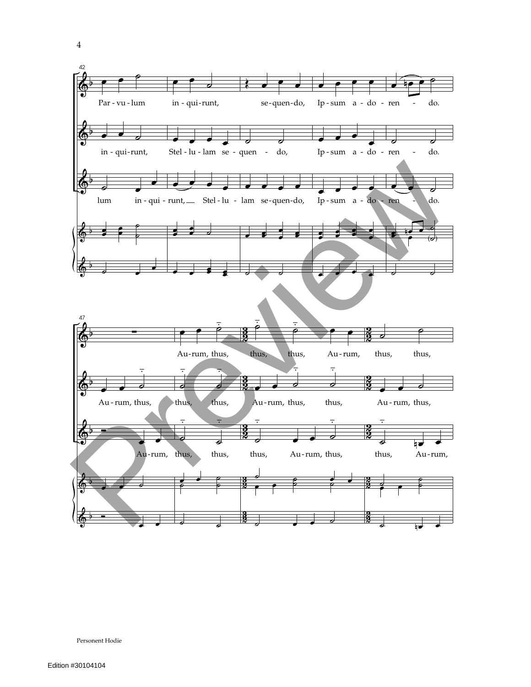

Personent Hodie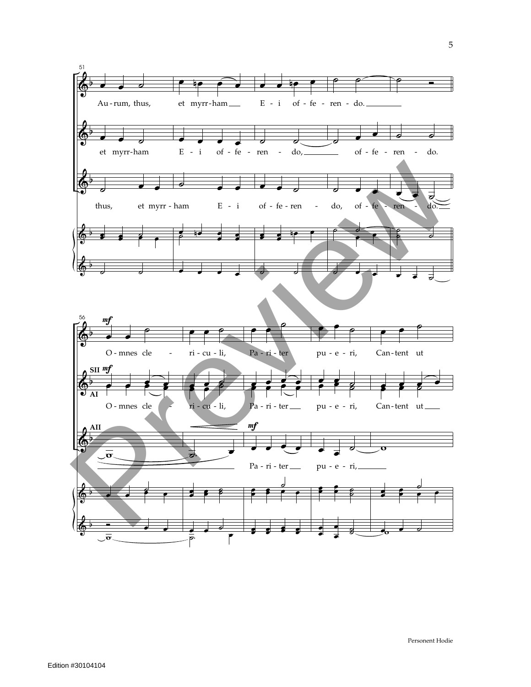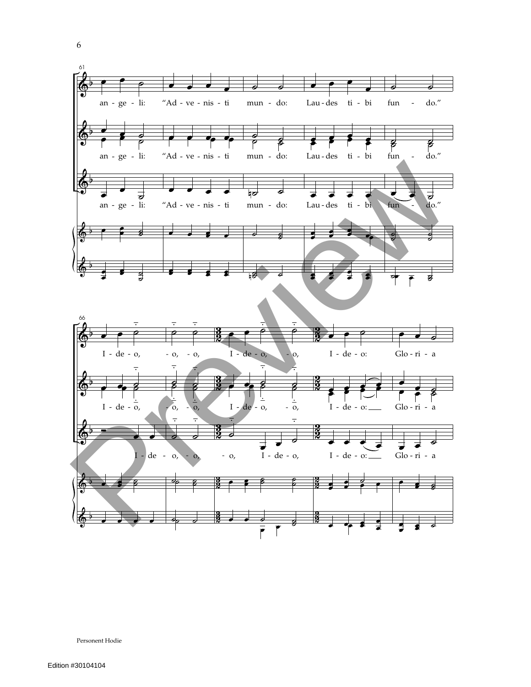

Personent Hodie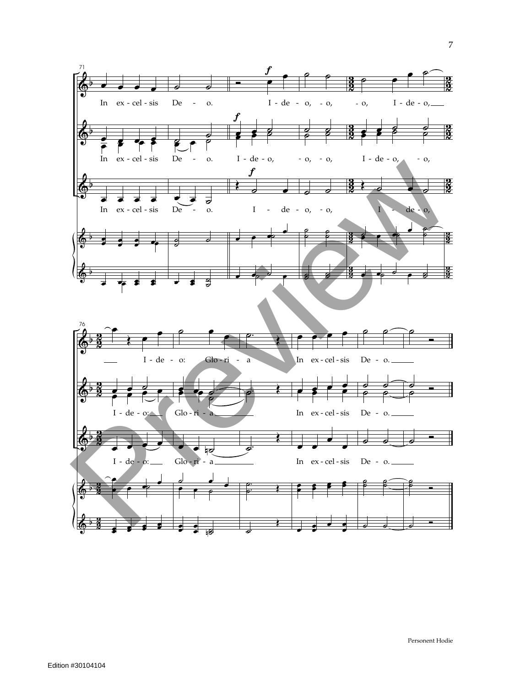